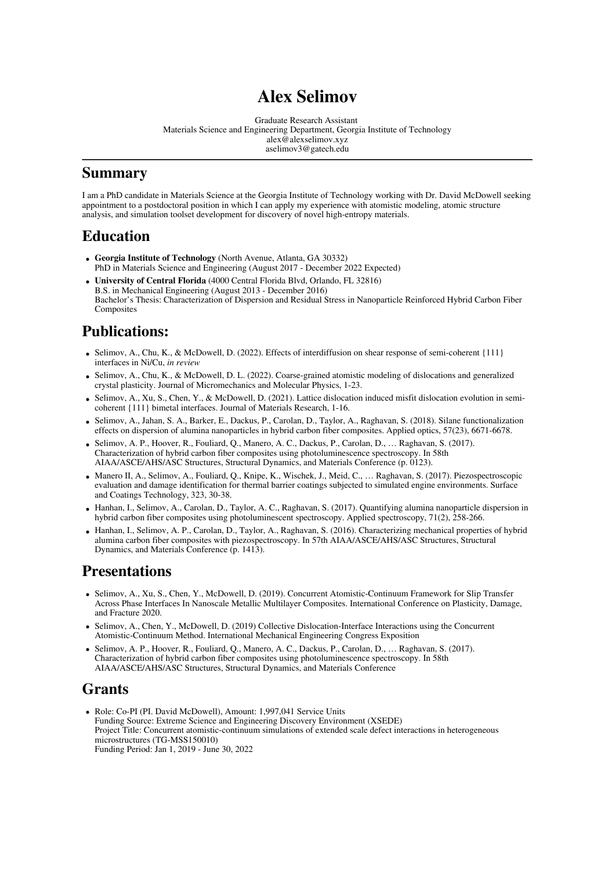# **Alex Selimov**

Graduate Research Assistant Materials Science and Engineering Department, Georgia Institute of Technology alex@alexselimov.xyz aselimov3@gatech.edu

## **Summary**

I am a PhD candidate in Materials Science at the Georgia Institute of Technology working with Dr. David McDowell seeking appointment to a postdoctoral position in which I can apply my experience with atomistic modeling, atomic structure analysis, and simulation toolset development for discovery of novel high-entropy materials.

## **Education**

- **Georgia Institute of Technology** (North Avenue, Atlanta, GA 30332) PhD in Materials Science and Engineering (August 2017 - December 2022 Expected)
- **University of Central Florida** (4000 Central Florida Blvd, Orlando, FL 32816) B.S. in Mechanical Engineering (August 2013 - December 2016) Bachelor's Thesis: Characterization of Dispersion and Residual Stress in Nanoparticle Reinforced Hybrid Carbon Fiber **Composites**

## **Publications:**

- Selimov, A., Chu, K., & McDowell, D. (2022). Effects of interdiffusion on shear response of semi-coherent {111} interfaces in Ni/Cu, *in review*
- Selimov, A., Chu, K., & McDowell, D. L. (2022). Coarse-grained atomistic modeling of dislocations and generalized crystal plasticity. Journal of Micromechanics and Molecular Physics, 1-23.
- Selimov, A., Xu, S., Chen, Y., & McDowell, D. (2021). Lattice dislocation induced misfit dislocation evolution in semicoherent {111} bimetal interfaces. Journal of Materials Research, 1-16.
- Selimov, A., Jahan, S. A., Barker, E., Dackus, P., Carolan, D., Taylor, A., Raghavan, S. (2018). Silane functionalization effects on dispersion of alumina nanoparticles in hybrid carbon fiber composites. Applied optics, 57(23), 6671-6678.
- Selimov, A. P., Hoover, R., Fouliard, Q., Manero, A. C., Dackus, P., Carolan, D., … Raghavan, S. (2017). Characterization of hybrid carbon fiber composites using photoluminescence spectroscopy. In 58th AIAA/ASCE/AHS/ASC Structures, Structural Dynamics, and Materials Conference (p. 0123).
- Manero II, A., Selimov, A., Fouliard, Q., Knipe, K., Wischek, J., Meid, C., … Raghavan, S. (2017). Piezospectroscopic evaluation and damage identification for thermal barrier coatings subjected to simulated engine environments. Surface and Coatings Technology, 323, 30-38.
- Hanhan, I., Selimov, A., Carolan, D., Taylor, A. C., Raghavan, S. (2017). Quantifying alumina nanoparticle dispersion in hybrid carbon fiber composites using photoluminescent spectroscopy. Applied spectroscopy, 71(2), 258-266.
- Hanhan, I., Selimov, A. P., Carolan, D., Taylor, A., Raghavan, S. (2016). Characterizing mechanical properties of hybrid alumina carbon fiber composites with piezospectroscopy. In 57th AIAA/ASCE/AHS/ASC Structures, Structural Dynamics, and Materials Conference (p. 1413).

## **Presentations**

- Selimov, A., Xu, S., Chen, Y., McDowell, D. (2019). Concurrent Atomistic-Continuum Framework for Slip Transfer Across Phase Interfaces In Nanoscale Metallic Multilayer Composites. International Conference on Plasticity, Damage, and Fracture 2020.
- Selimov, A., Chen, Y., McDowell, D. (2019) Collective Dislocation-Interface Interactions using the Concurrent Atomistic-Continuum Method. International Mechanical Engineering Congress Exposition
- Selimov, A. P., Hoover, R., Fouliard, Q., Manero, A. C., Dackus, P., Carolan, D., … Raghavan, S. (2017). Characterization of hybrid carbon fiber composites using photoluminescence spectroscopy. In 58th AIAA/ASCE/AHS/ASC Structures, Structural Dynamics, and Materials Conference

## **Grants**

Role: Co-PI (PI. David McDowell), Amount: 1,997,041 Service Units Funding Source: Extreme Science and Engineering Discovery Environment (XSEDE) Project Title: Concurrent atomistic-continuum simulations of extended scale defect interactions in heterogeneous microstructures (TG-MSS150010) Funding Period: Jan 1, 2019 - June 30, 2022